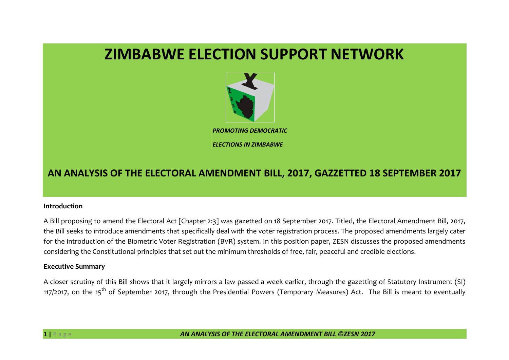# **ZIMBABWE ELECTION SUPPORT NETWORK**



## **AN ANALYSIS OF THE ELECTORAL AMENDMENT BILL, 2017, GAZZETTED 18 SEPTEMBER 2017**

#### **Introduction**

A Bill proposing to amend the Electoral Act [Chapter 2:3] was gazetted on 18 September 2017. Titled, the Electoral Amendment Bill, 2017, the Bill seeks to introduce amendments that specifically deal with the voter registration process. The proposed amendments largely cater for the introduction of the Biometric Voter Registration (BVR) system. In this position paper, ZESN discusses the proposed amendments considering the Constitutional principles that set out the minimum thresholds of free, fair, peaceful and credible elections.

#### **Executive Summary**

A closer scrutiny of this Bill shows that it largely mirrors a law passed a week earlier, through the gazetting of Statutory Instrument (SI) 117/2017, on the 15<sup>th</sup> of September 2017, through the Presidential Powers (Temporary Measures) Act. The Bill is meant to eventually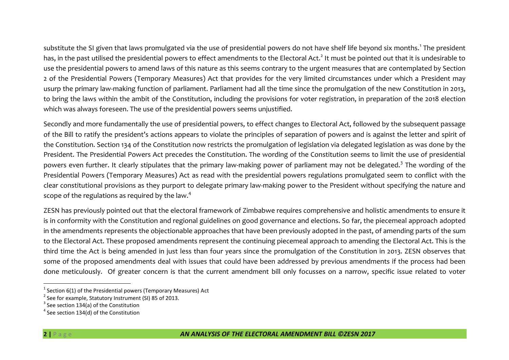substitute the SI given that laws promulgated via the use of presidential powers do not have shelf life beyond six months.<sup>1</sup> The president has, in the past utilised the presidential powers to effect amendments to the Electoral Act.<sup>2</sup> It must be pointed out that it is undesirable to use the presidential powers to amend laws of this nature as this seems contrary to the urgent measures that are contemplated by Section 2 of the Presidential Powers (Temporary Measures) Act that provides for the very limited circumstances under which a President may usurp the primary law-making function of parliament. Parliament had all the time since the promulgation of the new Constitution in 2013, to bring the laws within the ambit of the Constitution, including the provisions for voter registration, in preparation of the 2018 election which was always foreseen. The use of the presidential powers seems unjustified.

Secondly and more fundamentally the use of presidential powers, to effect changes to Electoral Act, followed by the subsequent passage of the Bill to ratify the president's actions appears to violate the principles of separation of powers and is against the letter and spirit of the Constitution. Section 134 of the Constitution now restricts the promulgation of legislation via delegated legislation as was done by the President. The Presidential Powers Act precedes the Constitution. The wording of the Constitution seems to limit the use of presidential powers even further. It clearly stipulates that the primary law-making power of parliament may not be delegated.<sup>3</sup> The wording of the Presidential Powers (Temporary Measures) Act as read with the presidential powers regulations promulgated seem to conflict with the clear constitutional provisions as they purport to delegate primary law-making power to the President without specifying the nature and scope of the regulations as required by the law.<sup>4</sup>

ZESN has previously pointed out that the electoral framework of Zimbabwe requires comprehensive and holistic amendments to ensure it is in conformity with the Constitution and regional guidelines on good governance and elections. So far, the piecemeal approach adopted in the amendments represents the objectionable approaches that have been previously adopted in the past, of amending parts of the sum to the Electoral Act. These proposed amendments represent the continuing piecemeal approach to amending the Electoral Act. This is the third time the Act is being amended in just less than four years since the promulgation of the Constitution in 2013. ZESN observes that some of the proposed amendments deal with issues that could have been addressed by previous amendments if the process had been done meticulously. Of greater concern is that the current amendment bill only focusses on a narrow, specific issue related to voter

 $\overline{a}$ 

 $^1$  Section 6(1) of the Presidential powers (Temporary Measures) Act

 $2$  See for example, Statutory Instrument (SI) 85 of 2013.

 $3$  See section 134(a) of the Constitution

 $<sup>4</sup>$  See section 134(d) of the Constitution</sup>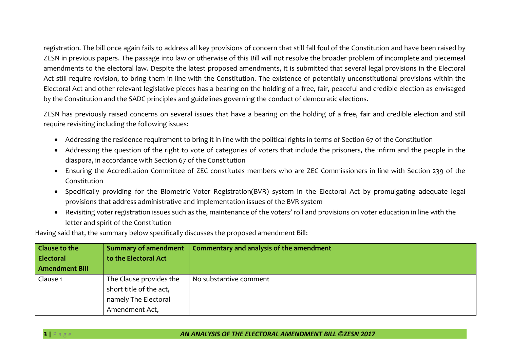registration. The bill once again fails to address all key provisions of concern that still fall foul of the Constitution and have been raised by ZESN in previous papers. The passage into law or otherwise of this Bill will not resolve the broader problem of incomplete and piecemeal amendments to the electoral law. Despite the latest proposed amendments, it is submitted that several legal provisions in the Electoral Act still require revision, to bring them in line with the Constitution. The existence of potentially unconstitutional provisions within the Electoral Act and other relevant legislative pieces has a bearing on the holding of a free, fair, peaceful and credible election as envisaged by the Constitution and the SADC principles and guidelines governing the conduct of democratic elections.

ZESN has previously raised concerns on several issues that have a bearing on the holding of a free, fair and credible election and still require revisiting including the following issues:

- Addressing the residence requirement to bring it in line with the political rights in terms of Section 67 of the Constitution
- Addressing the question of the right to vote of categories of voters that include the prisoners, the infirm and the people in the diaspora, in accordance with Section 67 of the Constitution
- Ensuring the Accreditation Committee of ZEC constitutes members who are ZEC Commissioners in line with Section 239 of the Constitution
- Specifically providing for the Biometric Voter Registration(BVR) system in the Electoral Act by promulgating adequate legal provisions that address administrative and implementation issues of the BVR system
- Revisiting voter registration issues such as the, maintenance of the voters' roll and provisions on voter education in line with the letter and spirit of the Constitution

Having said that, the summary below specifically discusses the proposed amendment Bill:

| <b>Clause to the</b>  | <b>Summary of amendment</b> | Commentary and analysis of the amendment |
|-----------------------|-----------------------------|------------------------------------------|
| <b>Electoral</b>      | to the Electoral Act        |                                          |
| <b>Amendment Bill</b> |                             |                                          |
| Clause 1              | The Clause provides the     | No substantive comment                   |
|                       | short title of the act,     |                                          |
|                       | namely The Electoral        |                                          |
|                       | Amendment Act,              |                                          |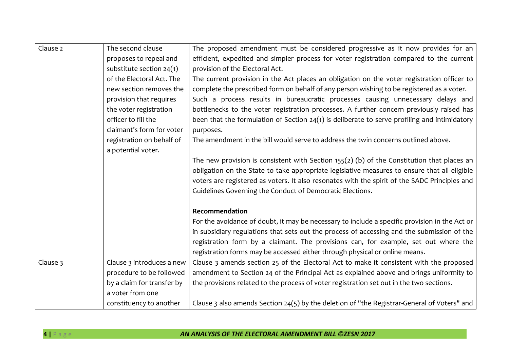| Clause 2 | The second clause          | The proposed amendment must be considered progressive as it now provides for an                |
|----------|----------------------------|------------------------------------------------------------------------------------------------|
|          | proposes to repeal and     | efficient, expedited and simpler process for voter registration compared to the current        |
|          | substitute section $24(1)$ | provision of the Electoral Act.                                                                |
|          | of the Electoral Act. The  | The current provision in the Act places an obligation on the voter registration officer to     |
|          | new section removes the    | complete the prescribed form on behalf of any person wishing to be registered as a voter.      |
|          | provision that requires    | Such a process results in bureaucratic processes causing unnecessary delays and                |
|          | the voter registration     | bottlenecks to the voter registration processes. A further concern previously raised has       |
|          | officer to fill the        | been that the formulation of Section $24(1)$ is deliberate to serve profiling and intimidatory |
|          | claimant's form for voter  | purposes.                                                                                      |
|          | registration on behalf of  | The amendment in the bill would serve to address the twin concerns outlined above.             |
|          | a potential voter.         |                                                                                                |
|          |                            | The new provision is consistent with Section $155(2)$ (b) of the Constitution that places an   |
|          |                            | obligation on the State to take appropriate legislative measures to ensure that all eligible   |
|          |                            | voters are registered as voters. It also resonates with the spirit of the SADC Principles and  |
|          |                            | Guidelines Governing the Conduct of Democratic Elections.                                      |
|          |                            |                                                                                                |
|          |                            | Recommendation                                                                                 |
|          |                            | For the avoidance of doubt, it may be necessary to include a specific provision in the Act or  |
|          |                            | in subsidiary regulations that sets out the process of accessing and the submission of the     |
|          |                            | registration form by a claimant. The provisions can, for example, set out where the            |
|          |                            | registration forms may be accessed either through physical or online means.                    |
| Clause 3 | Clause 3 introduces a new  | Clause 3 amends section 25 of the Electoral Act to make it consistent with the proposed        |
|          | procedure to be followed   | amendment to Section 24 of the Principal Act as explained above and brings uniformity to       |
|          | by a claim for transfer by | the provisions related to the process of voter registration set out in the two sections.       |
|          | a voter from one           |                                                                                                |
|          | constituency to another    | Clause 3 also amends Section 24(5) by the deletion of "the Registrar-General of Voters" and    |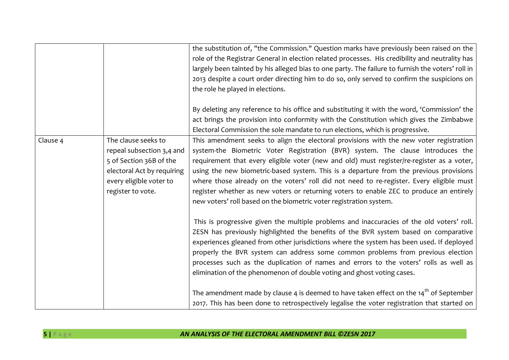|          |                            | the substitution of, "the Commission." Question marks have previously been raised on the          |
|----------|----------------------------|---------------------------------------------------------------------------------------------------|
|          |                            | role of the Registrar General in election related processes. His credibility and neutrality has   |
|          |                            | largely been tainted by his alleged bias to one party. The failure to furnish the voters' roll in |
|          |                            | 2013 despite a court order directing him to do so, only served to confirm the suspicions on       |
|          |                            | the role he played in elections.                                                                  |
|          |                            |                                                                                                   |
|          |                            | By deleting any reference to his office and substituting it with the word, 'Commission' the       |
|          |                            | act brings the provision into conformity with the Constitution which gives the Zimbabwe           |
|          |                            | Electoral Commission the sole mandate to run elections, which is progressive.                     |
| Clause 4 | The clause seeks to        | This amendment seeks to align the electoral provisions with the new voter registration            |
|          | repeal subsection 3,4 and  | system-the Biometric Voter Registration (BVR) system. The clause introduces the                   |
|          | 5 of Section 36B of the    | requirement that every eligible voter (new and old) must register/re-register as a voter,         |
|          | electoral Act by requiring | using the new biometric-based system. This is a departure from the previous provisions            |
|          | every eligible voter to    | where those already on the voters' roll did not need to re-register. Every eligible must          |
|          | register to vote.          | register whether as new voters or returning voters to enable ZEC to produce an entirely           |
|          |                            | new voters' roll based on the biometric voter registration system.                                |
|          |                            |                                                                                                   |
|          |                            | This is progressive given the multiple problems and inaccuracies of the old voters' roll.         |
|          |                            | ZESN has previously highlighted the benefits of the BVR system based on comparative               |
|          |                            | experiences gleaned from other jurisdictions where the system has been used. If deployed          |
|          |                            | properly the BVR system can address some common problems from previous election                   |
|          |                            | processes such as the duplication of names and errors to the voters' rolls as well as             |
|          |                            | elimination of the phenomenon of double voting and ghost voting cases.                            |
|          |                            |                                                                                                   |
|          |                            | The amendment made by clause 4 is deemed to have taken effect on the $14th$ of September          |
|          |                            | 2017. This has been done to retrospectively legalise the voter registration that started on       |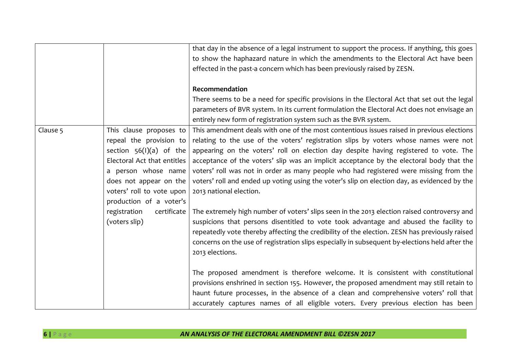|          |                             | that day in the absence of a legal instrument to support the process. If anything, this goes   |
|----------|-----------------------------|------------------------------------------------------------------------------------------------|
|          |                             | to show the haphazard nature in which the amendments to the Electoral Act have been            |
|          |                             | effected in the past-a concern which has been previously raised by ZESN.                       |
|          |                             |                                                                                                |
|          |                             | Recommendation                                                                                 |
|          |                             | There seems to be a need for specific provisions in the Electoral Act that set out the legal   |
|          |                             | parameters of BVR system. In its current formulation the Electoral Act does not envisage an    |
|          |                             | entirely new form of registration system such as the BVR system.                               |
| Clause 5 | This clause proposes to     | This amendment deals with one of the most contentious issues raised in previous elections      |
|          | repeal the provision to     | relating to the use of the voters' registration slips by voters whose names were not           |
|          | section $56(1)(a)$ of the   | appearing on the voters' roll on election day despite having registered to vote. The           |
|          | Electoral Act that entitles | acceptance of the voters' slip was an implicit acceptance by the electoral body that the       |
|          | a person whose name         | voters' roll was not in order as many people who had registered were missing from the          |
|          | does not appear on the      | voters' roll and ended up voting using the voter's slip on election day, as evidenced by the   |
|          | voters' roll to vote upon   | 2013 national election.                                                                        |
|          |                             |                                                                                                |
|          | production of a voter's     |                                                                                                |
|          | registration<br>certificate | The extremely high number of voters' slips seen in the 2013 election raised controversy and    |
|          | (voters slip)               | suspicions that persons disentitled to vote took advantage and abused the facility to          |
|          |                             | repeatedly vote thereby affecting the credibility of the election. ZESN has previously raised  |
|          |                             | concerns on the use of registration slips especially in subsequent by-elections held after the |
|          |                             | 2013 elections.                                                                                |
|          |                             |                                                                                                |
|          |                             | The proposed amendment is therefore welcome. It is consistent with constitutional              |
|          |                             |                                                                                                |
|          |                             | provisions enshrined in section 155. However, the proposed amendment may still retain to       |
|          |                             | haunt future processes, in the absence of a clean and comprehensive voters' roll that          |
|          |                             | accurately captures names of all eligible voters. Every previous election has been             |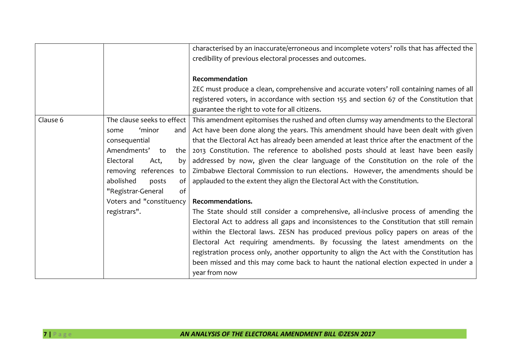|          |                            | characterised by an inaccurate/erroneous and incomplete voters' rolls that has affected the |
|----------|----------------------------|---------------------------------------------------------------------------------------------|
|          |                            | credibility of previous electoral processes and outcomes.                                   |
|          |                            |                                                                                             |
|          |                            | Recommendation                                                                              |
|          |                            | ZEC must produce a clean, comprehensive and accurate voters' roll containing names of all   |
|          |                            | registered voters, in accordance with section 155 and section 67 of the Constitution that   |
|          |                            | guarantee the right to vote for all citizens.                                               |
| Clause 6 | The clause seeks to effect | This amendment epitomises the rushed and often clumsy way amendments to the Electoral       |
|          | 'minor<br>and<br>some      | Act have been done along the years. This amendment should have been dealt with given        |
|          | consequential              | that the Electoral Act has already been amended at least thrice after the enactment of the  |
|          | Amendments'<br>to<br>the   | 2013 Constitution. The reference to abolished posts should at least have been easily        |
|          | Electoral<br>Act,<br>by    | addressed by now, given the clear language of the Constitution on the role of the           |
|          | removing references to     | Zimbabwe Electoral Commission to run elections. However, the amendments should be           |
|          | abolished<br>posts<br>of   | applauded to the extent they align the Electoral Act with the Constitution.                 |
|          | of<br>"Registrar-General   |                                                                                             |
|          | Voters and "constituency   | Recommendations.                                                                            |
|          | registrars".               | The State should still consider a comprehensive, all-inclusive process of amending the      |
|          |                            | Electoral Act to address all gaps and inconsistences to the Constitution that still remain  |
|          |                            | within the Electoral laws. ZESN has produced previous policy papers on areas of the         |
|          |                            | Electoral Act requiring amendments. By focussing the latest amendments on the               |
|          |                            | registration process only, another opportunity to align the Act with the Constitution has   |
|          |                            | been missed and this may come back to haunt the national election expected in under a       |
|          |                            | year from now                                                                               |